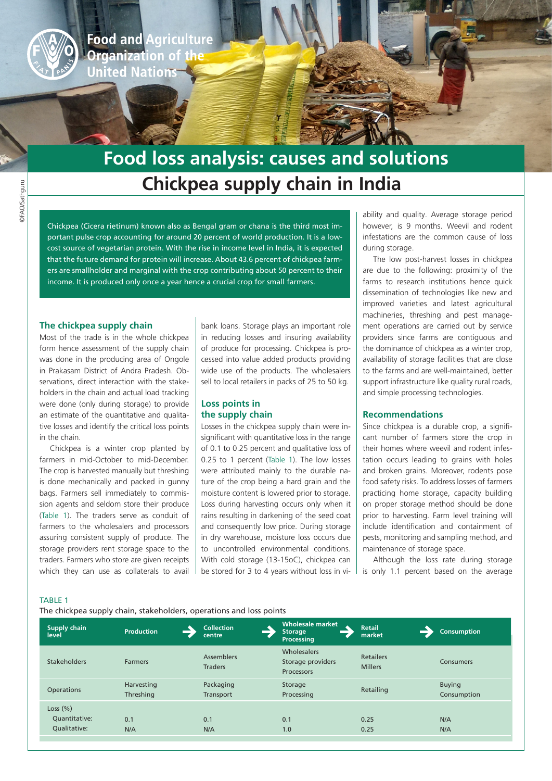

**Food and Agriculture** Organization of the **United Nations** 

# **Chickpea supply chain in India Food loss analysis: causes and solutions**

Chickpea (Cicera rietinum) known also as Bengal gram or chana is the third most important pulse crop accounting for around 20 percent of world production. It is a lowcost source of vegetarian protein. With the rise in income level in India, it is expected that the future demand for protein will increase. About 43.6 percent of chickpea farmers are smallholder and marginal with the crop contributing about 50 percent to their income. It is produced only once a year hence a crucial crop for small farmers.

## **The chickpea supply chain**

Most of the trade is in the whole chickpea form hence assessment of the supply chain was done in the producing area of Ongole in Prakasam District of Andra Pradesh. Observations, direct interaction with the stakeholders in the chain and actual load tracking were done (only during storage) to provide an estimate of the quantitative and qualitative losses and identify the critical loss points in the chain.

Chickpea is a winter crop planted by farmers in mid-October to mid-December. The crop is harvested manually but threshing is done mechanically and packed in gunny bags. Farmers sell immediately to commission agents and seldom store their produce (Table 1). The traders serve as conduit of farmers to the wholesalers and processors assuring consistent supply of produce. The storage providers rent storage space to the traders. Farmers who store are given receipts which they can use as collaterals to avail

bank loans. Storage plays an important role in reducing losses and insuring availability of produce for processing. Chickpea is processed into value added products providing wide use of the products. The wholesalers sell to local retailers in packs of 25 to 50 kg.

# **Loss points in the supply chain**

Losses in the chickpea supply chain were insignificant with quantitative loss in the range of 0.1 to 0.25 percent and qualitative loss of 0.25 to 1 percent (Table 1). The low losses were attributed mainly to the durable nature of the crop being a hard grain and the moisture content is lowered prior to storage. Loss during harvesting occurs only when it rains resulting in darkening of the seed coat and consequently low price. During storage in dry warehouse, moisture loss occurs due to uncontrolled environmental conditions. With cold storage (13-15oC), chickpea can be stored for 3 to 4 years without loss in viability and quality. Average storage period however, is 9 months. Weevil and rodent infestations are the common cause of loss during storage.

The low post-harvest losses in chickpea are due to the following: proximity of the farms to research institutions hence quick dissemination of technologies like new and improved varieties and latest agricultural machineries, threshing and pest management operations are carried out by service providers since farms are contiguous and the dominance of chickpea as a winter crop, availability of storage facilities that are close to the farms and are well-maintained, better support infrastructure like quality rural roads, and simple processing technologies.

### **Recommendations**

Since chickpea is a durable crop, a significant number of farmers store the crop in their homes where weevil and rodent infestation occurs leading to grains with holes and broken grains. Moreover, rodents pose food safety risks. To address losses of farmers practicing home storage, capacity building on proper storage method should be done prior to harvesting. Farm level training will include identification and containment of pests, monitoring and sampling method, and maintenance of storage space.

Although the loss rate during storage is only 1.1 percent based on the average

#### TABLE 1

The chickpea supply chain, stakeholders, operations and loss points

| <b>Supply chain</b><br>level                 | <b>Production</b>       | <b>Collection</b><br>centre         | <b>Wholesale market</b><br>Storage<br><b>Processing</b> | <b>Retail</b><br>market            | <b>Consumption</b>           |
|----------------------------------------------|-------------------------|-------------------------------------|---------------------------------------------------------|------------------------------------|------------------------------|
| <b>Stakeholders</b>                          | <b>Farmers</b>          | <b>Assemblers</b><br><b>Traders</b> | Wholesalers<br>Storage providers<br><b>Processors</b>   | <b>Retailers</b><br><b>Millers</b> | <b>Consumers</b>             |
| <b>Operations</b>                            | Harvesting<br>Threshing | Packaging<br>Transport              | Storage<br>Processing                                   | Retailing                          | <b>Buying</b><br>Consumption |
| Loss $(\%)$<br>Quantitative:<br>Oualitative: | 0.1<br>N/A              | 0.1<br>N/A                          | 0.1<br>1.0                                              | 0.25<br>0.25                       | N/A<br>N/A                   |